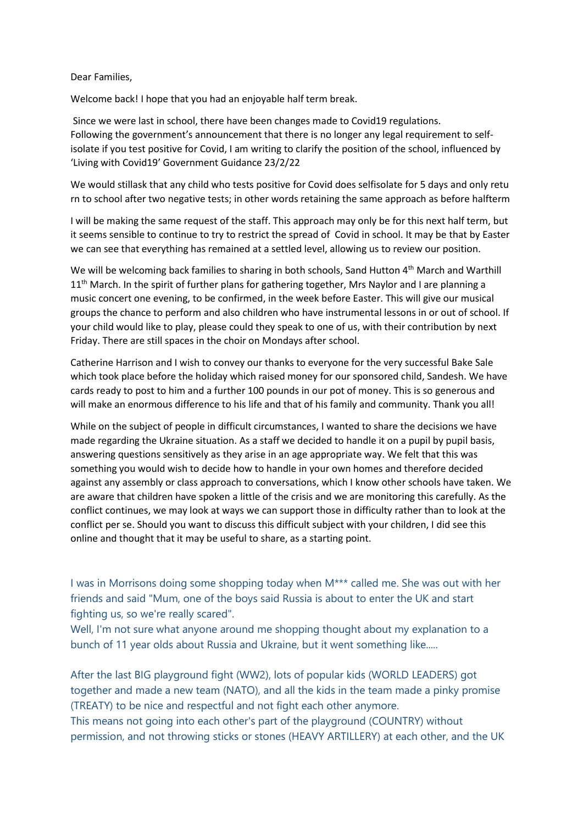## Dear Families,

Welcome back! I hope that you had an enjoyable half term break.

Since we were last in school, there have been changes made to Covid19 regulations. Following the government's announcement that there is no longer any legal requirement to selfisolate if you test positive for Covid, I am writing to clarify the position of the school, influenced by 'Living with Covid19' Government Guidance 23/2/22

We would stillask that any child who tests positive for Covid does selfisolate for 5 days and only retu rn to school after two negative tests; in other words retaining the same approach as before halfterm

I will be making the same request of the staff. This approach may only be for this next half term, but it seems sensible to continue to try to restrict the spread of Covid in school. It may be that by Easter we can see that everything has remained at a settled level, allowing us to review our position.

We will be welcoming back families to sharing in both schools, Sand Hutton 4<sup>th</sup> March and Warthill 11<sup>th</sup> March. In the spirit of further plans for gathering together, Mrs Naylor and I are planning a music concert one evening, to be confirmed, in the week before Easter. This will give our musical groups the chance to perform and also children who have instrumental lessons in or out of school. If your child would like to play, please could they speak to one of us, with their contribution by next Friday. There are still spaces in the choir on Mondays after school.

Catherine Harrison and I wish to convey our thanks to everyone for the very successful Bake Sale which took place before the holiday which raised money for our sponsored child, Sandesh. We have cards ready to post to him and a further 100 pounds in our pot of money. This is so generous and will make an enormous difference to his life and that of his family and community. Thank you all!

While on the subject of people in difficult circumstances, I wanted to share the decisions we have made regarding the Ukraine situation. As a staff we decided to handle it on a pupil by pupil basis, answering questions sensitively as they arise in an age appropriate way. We felt that this was something you would wish to decide how to handle in your own homes and therefore decided against any assembly or class approach to conversations, which I know other schools have taken. We are aware that children have spoken a little of the crisis and we are monitoring this carefully. As the conflict continues, we may look at ways we can support those in difficulty rather than to look at the conflict per se. Should you want to discuss this difficult subject with your children, I did see this online and thought that it may be useful to share, as a starting point.

I was in Morrisons doing some shopping today when M\*\*\* called me. She was out with her friends and said "Mum, one of the boys said Russia is about to enter the UK and start fighting us, so we're really scared".

Well, I'm not sure what anyone around me shopping thought about my explanation to a bunch of 11 year olds about Russia and Ukraine, but it went something like.....

After the last BIG playground fight (WW2), lots of popular kids (WORLD LEADERS) got together and made a new team (NATO), and all the kids in the team made a pinky promise (TREATY) to be nice and respectful and not fight each other anymore.

This means not going into each other's part of the playground (COUNTRY) without permission, and not throwing sticks or stones (HEAVY ARTILLERY) at each other, and the UK